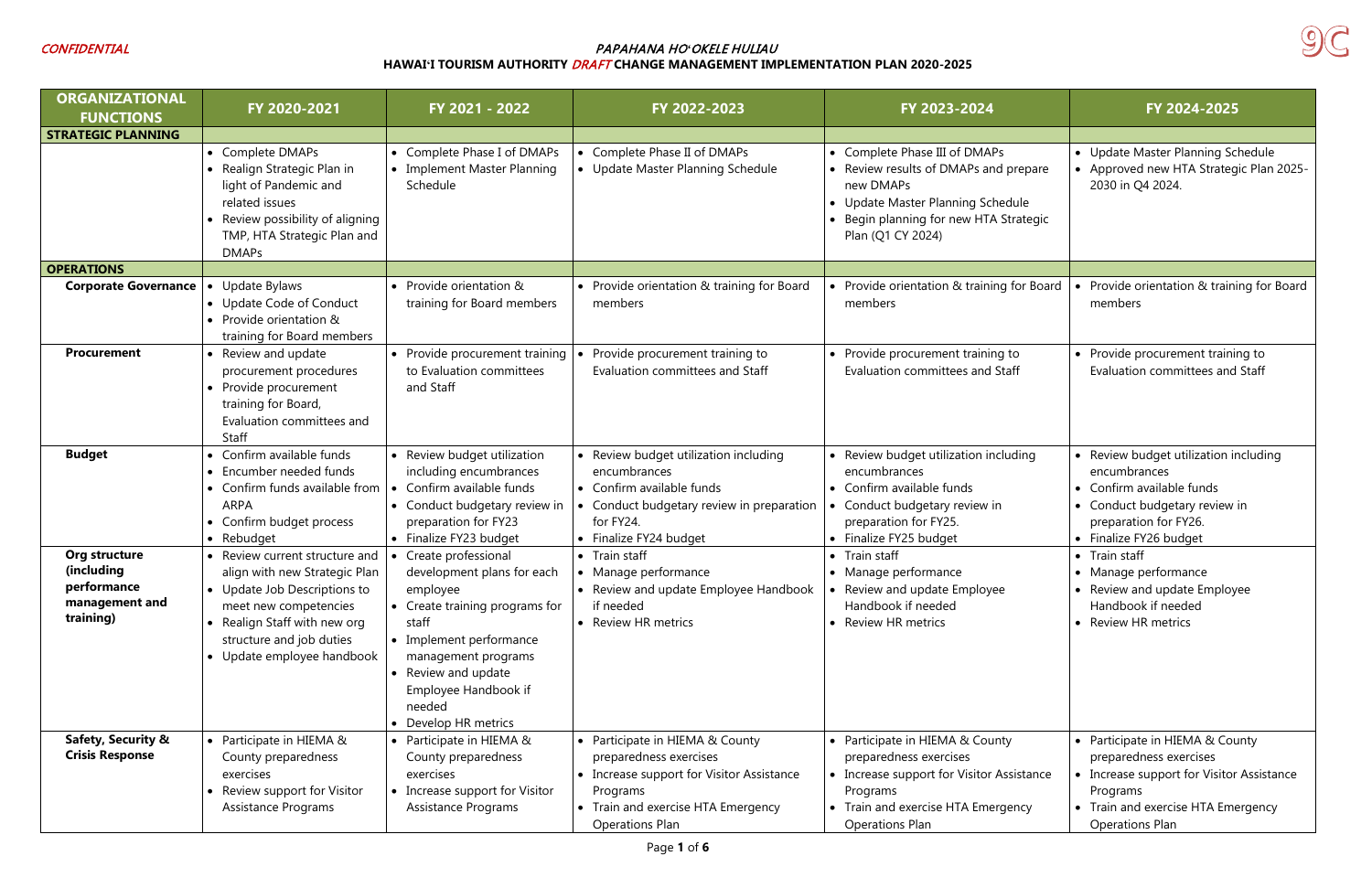

| <b>ORGANIZATIONAL</b><br><b>FUNCTIONS</b>                                 | FY 2020-2021                                                                                                                                                                                                     | FY 2021 - 2022                                                                                                                                                                                                                              | FY 2022-2023                                                                                                                                                                       | FY 2023-2024                                                                                                                                                                            | FY 2024-2025                                                                                                                                                                       |
|---------------------------------------------------------------------------|------------------------------------------------------------------------------------------------------------------------------------------------------------------------------------------------------------------|---------------------------------------------------------------------------------------------------------------------------------------------------------------------------------------------------------------------------------------------|------------------------------------------------------------------------------------------------------------------------------------------------------------------------------------|-----------------------------------------------------------------------------------------------------------------------------------------------------------------------------------------|------------------------------------------------------------------------------------------------------------------------------------------------------------------------------------|
| <b>STRATEGIC PLANNING</b>                                                 |                                                                                                                                                                                                                  |                                                                                                                                                                                                                                             |                                                                                                                                                                                    |                                                                                                                                                                                         |                                                                                                                                                                                    |
|                                                                           | • Complete DMAPs<br>• Realign Strategic Plan in<br>light of Pandemic and<br>related issues<br>• Review possibility of aligning<br>TMP, HTA Strategic Plan and<br><b>DMAPs</b>                                    | • Complete Phase I of DMAPs<br>• Implement Master Planning<br>Schedule                                                                                                                                                                      | Complete Phase II of DMAPs<br>• Update Master Planning Schedule                                                                                                                    | • Complete Phase III of DMAPs<br>• Review results of DMAPs and prepare<br>new DMAPs<br>• Update Master Planning Schedule<br>• Begin planning for new HTA Strategic<br>Plan (Q1 CY 2024) | • Update Master Planning Schedule<br>• Approved new HTA Strategic Plan 2025-<br>2030 in Q4 2024.                                                                                   |
| <b>OPERATIONS</b>                                                         |                                                                                                                                                                                                                  |                                                                                                                                                                                                                                             |                                                                                                                                                                                    |                                                                                                                                                                                         |                                                                                                                                                                                    |
| <b>Corporate Governance</b>                                               | Update Bylaws<br>$\bullet$<br>• Update Code of Conduct<br>• Provide orientation &<br>training for Board members                                                                                                  | • Provide orientation &<br>training for Board members                                                                                                                                                                                       | • Provide orientation & training for Board<br>members                                                                                                                              | • Provide orientation & training for Board<br>members                                                                                                                                   | Provide orientation & training for Board<br>members                                                                                                                                |
| <b>Procurement</b>                                                        | • Review and update<br>procurement procedures<br>• Provide procurement<br>training for Board,<br>Evaluation committees and<br>Staff                                                                              | • Provide procurement training<br>to Evaluation committees<br>and Staff                                                                                                                                                                     | Provide procurement training to<br>Evaluation committees and Staff                                                                                                                 | • Provide procurement training to<br>Evaluation committees and Staff                                                                                                                    | • Provide procurement training to<br><b>Evaluation committees and Staff</b>                                                                                                        |
| <b>Budget</b>                                                             | • Confirm available funds<br>Encumber needed funds<br>• Confirm funds available from<br><b>ARPA</b><br>• Confirm budget process<br>• Rebudget                                                                    | • Review budget utilization<br>including encumbrances<br>Confirm available funds<br>• Conduct budgetary review in<br>preparation for FY23<br>• Finalize FY23 budget                                                                         | • Review budget utilization including<br>encumbrances<br>• Confirm available funds<br>• Conduct budgetary review in preparation<br>for FY24.<br>• Finalize FY24 budget             | • Review budget utilization including<br>encumbrances<br>• Confirm available funds<br>• Conduct budgetary review in<br>preparation for FY25.<br>• Finalize FY25 budget                  | • Review budget utilization including<br>encumbrances<br>• Confirm available funds<br>• Conduct budgetary review in<br>preparation for FY26.<br>• Finalize FY26 budget             |
| Org structure<br>(including<br>performance<br>management and<br>training) | • Review current structure and<br>align with new Strategic Plan<br>Update Job Descriptions to<br>meet new competencies<br>• Realign Staff with new org<br>structure and job duties<br>• Update employee handbook | Create professional<br>development plans for each<br>employee<br>• Create training programs for<br>staff<br>• Implement performance<br>management programs<br>• Review and update<br>Employee Handbook if<br>needed<br>• Develop HR metrics | • Train staff<br>• Manage performance<br>• Review and update Employee Handbook<br>if needed<br>• Review HR metrics                                                                 | • Train staff<br>• Manage performance<br>• Review and update Employee<br>Handbook if needed<br>• Review HR metrics                                                                      | • Train staff<br>• Manage performance<br>• Review and update Employee<br>Handbook if needed<br>• Review HR metrics                                                                 |
| Safety, Security &<br><b>Crisis Response</b>                              | • Participate in HIEMA &<br>County preparedness<br>exercises<br>• Review support for Visitor<br><b>Assistance Programs</b>                                                                                       | • Participate in HIEMA &<br>County preparedness<br>exercises<br>• Increase support for Visitor<br>Assistance Programs                                                                                                                       | • Participate in HIEMA & County<br>preparedness exercises<br>• Increase support for Visitor Assistance<br>Programs<br>• Train and exercise HTA Emergency<br><b>Operations Plan</b> | • Participate in HIEMA & County<br>preparedness exercises<br>• Increase support for Visitor Assistance<br>Programs<br>• Train and exercise HTA Emergency<br><b>Operations Plan</b>      | • Participate in HIEMA & County<br>preparedness exercises<br>• Increase support for Visitor Assistance<br>Programs<br>• Train and exercise HTA Emergency<br><b>Operations Plan</b> |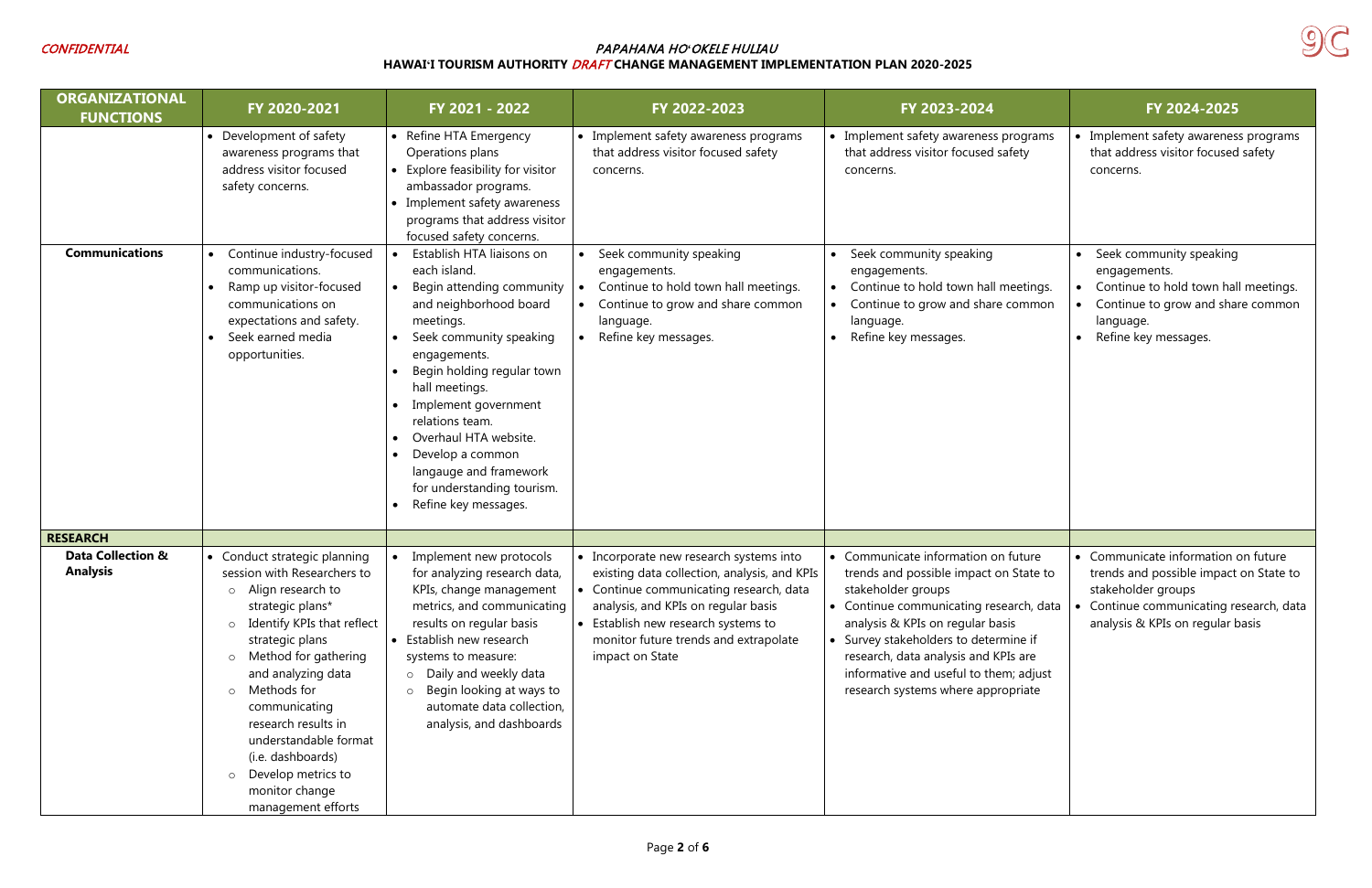

| <b>ORGANIZATIONAL</b><br><b>FUNCTIONS</b>       | FY 2020-2021                                                                                                                                                                                                                                                                                                                                                                                                         | FY 2021 - 2022                                                                                                                                                                                                                                                                                                                                                                   | FY 2022-2023                                                                                                                                                                                                                                                                 | FY 2023-2024                                                                                                                                                                                                                                                                                                                                        | FY 2024-2025                                                                                                                                                                     |
|-------------------------------------------------|----------------------------------------------------------------------------------------------------------------------------------------------------------------------------------------------------------------------------------------------------------------------------------------------------------------------------------------------------------------------------------------------------------------------|----------------------------------------------------------------------------------------------------------------------------------------------------------------------------------------------------------------------------------------------------------------------------------------------------------------------------------------------------------------------------------|------------------------------------------------------------------------------------------------------------------------------------------------------------------------------------------------------------------------------------------------------------------------------|-----------------------------------------------------------------------------------------------------------------------------------------------------------------------------------------------------------------------------------------------------------------------------------------------------------------------------------------------------|----------------------------------------------------------------------------------------------------------------------------------------------------------------------------------|
|                                                 | • Development of safety<br>awareness programs that<br>address visitor focused<br>safety concerns.                                                                                                                                                                                                                                                                                                                    | • Refine HTA Emergency<br>Operations plans<br>• Explore feasibility for visitor<br>ambassador programs.<br>• Implement safety awareness<br>programs that address visitor<br>focused safety concerns.                                                                                                                                                                             | • Implement safety awareness programs<br>that address visitor focused safety<br>concerns.                                                                                                                                                                                    | • Implement safety awareness programs<br>that address visitor focused safety<br>concerns.                                                                                                                                                                                                                                                           | • Implement safety awareness programs<br>that address visitor focused safety<br>concerns.                                                                                        |
| <b>Communications</b>                           | Continue industry-focused<br>communications.<br>Ramp up visitor-focused<br>communications on<br>expectations and safety.<br>Seek earned media<br>opportunities.                                                                                                                                                                                                                                                      | Establish HTA liaisons on<br>each island.<br>Begin attending community<br>and neighborhood board<br>meetings.<br>Seek community speaking<br>engagements.<br>Begin holding regular town<br>hall meetings.<br>Implement government<br>relations team.<br>Overhaul HTA website.<br>Develop a common<br>langauge and framework<br>for understanding tourism.<br>Refine key messages. | Seek community speaking<br>engagements.<br>Continue to hold town hall meetings.<br>Continue to grow and share common<br>language.<br>Refine key messages.                                                                                                                    | Seek community speaking<br>engagements.<br>Continue to hold town hall meetings.<br>Continue to grow and share common<br>language.<br>Refine key messages.                                                                                                                                                                                           | Seek community speaking<br>engagements.<br>Continue to hold town hall meetings.<br>Continue to grow and share common<br>language.<br>Refine key messages.                        |
| <b>RESEARCH</b>                                 |                                                                                                                                                                                                                                                                                                                                                                                                                      |                                                                                                                                                                                                                                                                                                                                                                                  |                                                                                                                                                                                                                                                                              |                                                                                                                                                                                                                                                                                                                                                     |                                                                                                                                                                                  |
| <b>Data Collection &amp;</b><br><b>Analysis</b> | • Conduct strategic planning<br>session with Researchers to<br>o Align research to<br>strategic plans*<br>Identify KPIs that reflect<br>$\circ$<br>strategic plans<br>Method for gathering<br>$\circ$<br>and analyzing data<br>Methods for<br>$\circ$<br>communicating<br>research results in<br>understandable format<br>(i.e. dashboards)<br>Develop metrics to<br>$\circ$<br>monitor change<br>management efforts | Implement new protocols<br>for analyzing research data,<br>KPIs, change management<br>metrics, and communicating<br>results on regular basis<br>• Establish new research<br>systems to measure:<br>o Daily and weekly data<br>Begin looking at ways to<br>$\circ$<br>automate data collection,<br>analysis, and dashboards                                                       | • Incorporate new research systems into<br>existing data collection, analysis, and KPIs<br>• Continue communicating research, data<br>analysis, and KPIs on regular basis<br>• Establish new research systems to<br>monitor future trends and extrapolate<br>impact on State | • Communicate information on future<br>trends and possible impact on State to<br>stakeholder groups<br>• Continue communicating research, data<br>analysis & KPIs on regular basis<br>• Survey stakeholders to determine if<br>research, data analysis and KPIs are<br>informative and useful to them; adjust<br>research systems where appropriate | • Communicate information on future<br>trends and possible impact on State to<br>stakeholder groups<br>Continue communicating research, data<br>analysis & KPIs on regular basis |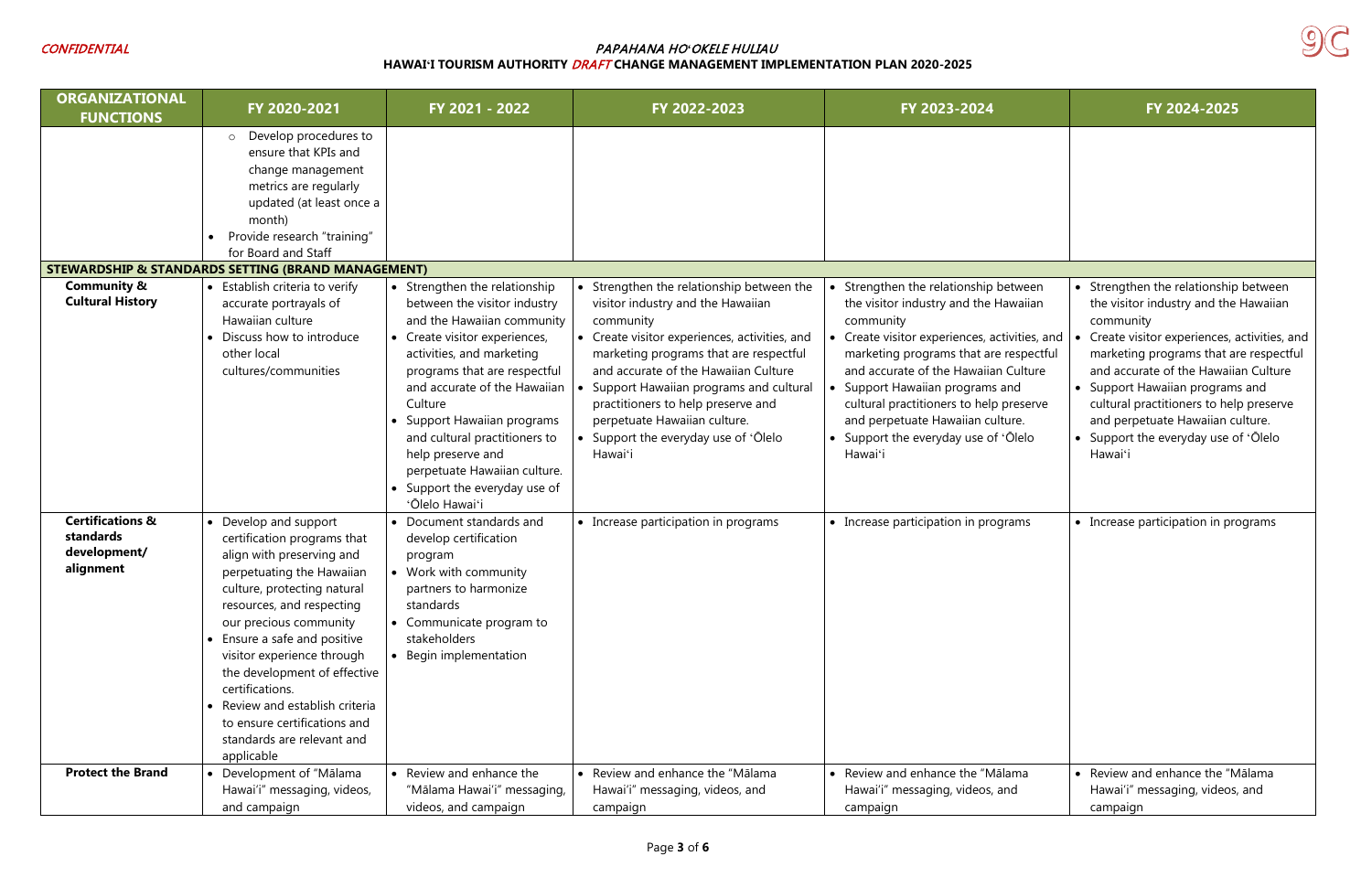# CONFIDENTIAL PAPAHANA HO*ʻ*OKELE HULIAU

**HAWAIʻI TOURISM AUTHORITY** DRAFT **CHANGE MANAGEMENT IMPLEMENTATION PLAN 2020-2025**



| <b>ORGANIZATIONAL</b><br><b>FUNCTIONS</b>                             | FY 2020-2021                                                                                                                                                                                                                                                                                                                                                                                                                         | FY 2021 - 2022                                                                                                                                                                                                                                                                                                                                                                                           | FY 2022-2023                                                                                                                                                                                                                                                                                                                                                                                    | FY 2023-2024                                                                                                                                                                                                                                                                                                                                                                                    | FY 2024-2025                                                                                                                                                                                                                                                                                                                                                                 |
|-----------------------------------------------------------------------|--------------------------------------------------------------------------------------------------------------------------------------------------------------------------------------------------------------------------------------------------------------------------------------------------------------------------------------------------------------------------------------------------------------------------------------|----------------------------------------------------------------------------------------------------------------------------------------------------------------------------------------------------------------------------------------------------------------------------------------------------------------------------------------------------------------------------------------------------------|-------------------------------------------------------------------------------------------------------------------------------------------------------------------------------------------------------------------------------------------------------------------------------------------------------------------------------------------------------------------------------------------------|-------------------------------------------------------------------------------------------------------------------------------------------------------------------------------------------------------------------------------------------------------------------------------------------------------------------------------------------------------------------------------------------------|------------------------------------------------------------------------------------------------------------------------------------------------------------------------------------------------------------------------------------------------------------------------------------------------------------------------------------------------------------------------------|
|                                                                       | Develop procedures to<br>$\circ$<br>ensure that KPIs and<br>change management<br>metrics are regularly<br>updated (at least once a<br>month)<br>Provide research "training"<br>for Board and Staff                                                                                                                                                                                                                                   |                                                                                                                                                                                                                                                                                                                                                                                                          |                                                                                                                                                                                                                                                                                                                                                                                                 |                                                                                                                                                                                                                                                                                                                                                                                                 |                                                                                                                                                                                                                                                                                                                                                                              |
|                                                                       | <b>STEWARDSHIP &amp; STANDARDS SETTING (BRAND MANAGEMENT)</b>                                                                                                                                                                                                                                                                                                                                                                        |                                                                                                                                                                                                                                                                                                                                                                                                          |                                                                                                                                                                                                                                                                                                                                                                                                 |                                                                                                                                                                                                                                                                                                                                                                                                 |                                                                                                                                                                                                                                                                                                                                                                              |
| <b>Community &amp;</b><br><b>Cultural History</b>                     | • Establish criteria to verify<br>accurate portrayals of<br>Hawaiian culture<br>• Discuss how to introduce<br>other local<br>cultures/communities                                                                                                                                                                                                                                                                                    | • Strengthen the relationship<br>between the visitor industry<br>and the Hawaiian community<br>• Create visitor experiences,<br>activities, and marketing<br>programs that are respectful<br>and accurate of the Hawaiian<br>Culture<br>Support Hawaiian programs<br>and cultural practitioners to<br>help preserve and<br>perpetuate Hawaiian culture.<br>Support the everyday use of<br>'Ōlelo Hawai'i | • Strengthen the relationship between the<br>visitor industry and the Hawaiian<br>community<br>• Create visitor experiences, activities, and<br>marketing programs that are respectful<br>and accurate of the Hawaiian Culture<br>Support Hawaiian programs and cultural<br>practitioners to help preserve and<br>perpetuate Hawaiian culture.<br>Support the everyday use of 'Olelo<br>Hawai'i | Strengthen the relationship between<br>the visitor industry and the Hawaiian<br>community<br>Create visitor experiences, activities, and<br>marketing programs that are respectful<br>and accurate of the Hawaiian Culture<br>• Support Hawaiian programs and<br>cultural practitioners to help preserve<br>and perpetuate Hawaiian culture.<br>• Support the everyday use of 'Olelo<br>Hawai'i | • Strengthen the relationship betwe<br>the visitor industry and the Hawaii<br>community<br>Create visitor experiences, activitie<br>marketing programs that are respo<br>and accurate of the Hawaiian Culti<br>• Support Hawaiian programs and<br>cultural practitioners to help prese<br>and perpetuate Hawaiian culture.<br>• Support the everyday use of 'Olek<br>Hawaiʻi |
| <b>Certifications &amp;</b><br>standards<br>development/<br>alignment | • Develop and support<br>certification programs that<br>align with preserving and<br>perpetuating the Hawaiian<br>culture, protecting natural<br>resources, and respecting<br>our precious community<br>• Ensure a safe and positive<br>visitor experience through<br>the development of effective<br>certifications.<br>• Review and establish criteria<br>to ensure certifications and<br>standards are relevant and<br>applicable | • Document standards and<br>develop certification<br>program<br>• Work with community<br>partners to harmonize<br>standards<br>• Communicate program to<br>stakeholders<br>• Begin implementation                                                                                                                                                                                                        | • Increase participation in programs                                                                                                                                                                                                                                                                                                                                                            | • Increase participation in programs                                                                                                                                                                                                                                                                                                                                                            | • Increase participation in programs                                                                                                                                                                                                                                                                                                                                         |
| <b>Protect the Brand</b>                                              | • Development of "Mālama<br>Hawai'i" messaging, videos,<br>and campaign                                                                                                                                                                                                                                                                                                                                                              | • Review and enhance the<br>"Mālama Hawai'i" messaging,<br>videos, and campaign                                                                                                                                                                                                                                                                                                                          | • Review and enhance the "Mālama<br>Hawai'i" messaging, videos, and<br>campaign                                                                                                                                                                                                                                                                                                                 | • Review and enhance the "Mālama<br>Hawai'i" messaging, videos, and<br>campaign                                                                                                                                                                                                                                                                                                                 | • Review and enhance the "Mālama<br>Hawai'i" messaging, videos, and<br>campaign                                                                                                                                                                                                                                                                                              |

|                                                                                              | FY 2024-2025                                                                                                                                                                                                                                                                                                                                                                                |
|----------------------------------------------------------------------------------------------|---------------------------------------------------------------------------------------------------------------------------------------------------------------------------------------------------------------------------------------------------------------------------------------------------------------------------------------------------------------------------------------------|
|                                                                                              |                                                                                                                                                                                                                                                                                                                                                                                             |
| tween<br>waiian<br>vities, and<br>espectful<br>Culture<br>١d<br>reserve<br>re.<br>.<br>Jlelo | Strengthen the relationship between<br>the visitor industry and the Hawaiian<br>community<br>Create visitor experiences, activities, and<br>marketing programs that are respectful<br>and accurate of the Hawaiian Culture<br>Support Hawaiian programs and<br>cultural practitioners to help preserve<br>and perpetuate Hawaiian culture.<br>Support the everyday use of 'Olelo<br>Hawai'i |
| ams                                                                                          | Increase participation in programs                                                                                                                                                                                                                                                                                                                                                          |
| ma<br>d                                                                                      | Review and enhance the "Mālama<br>Hawai'i" messaging, videos, and<br>campaign                                                                                                                                                                                                                                                                                                               |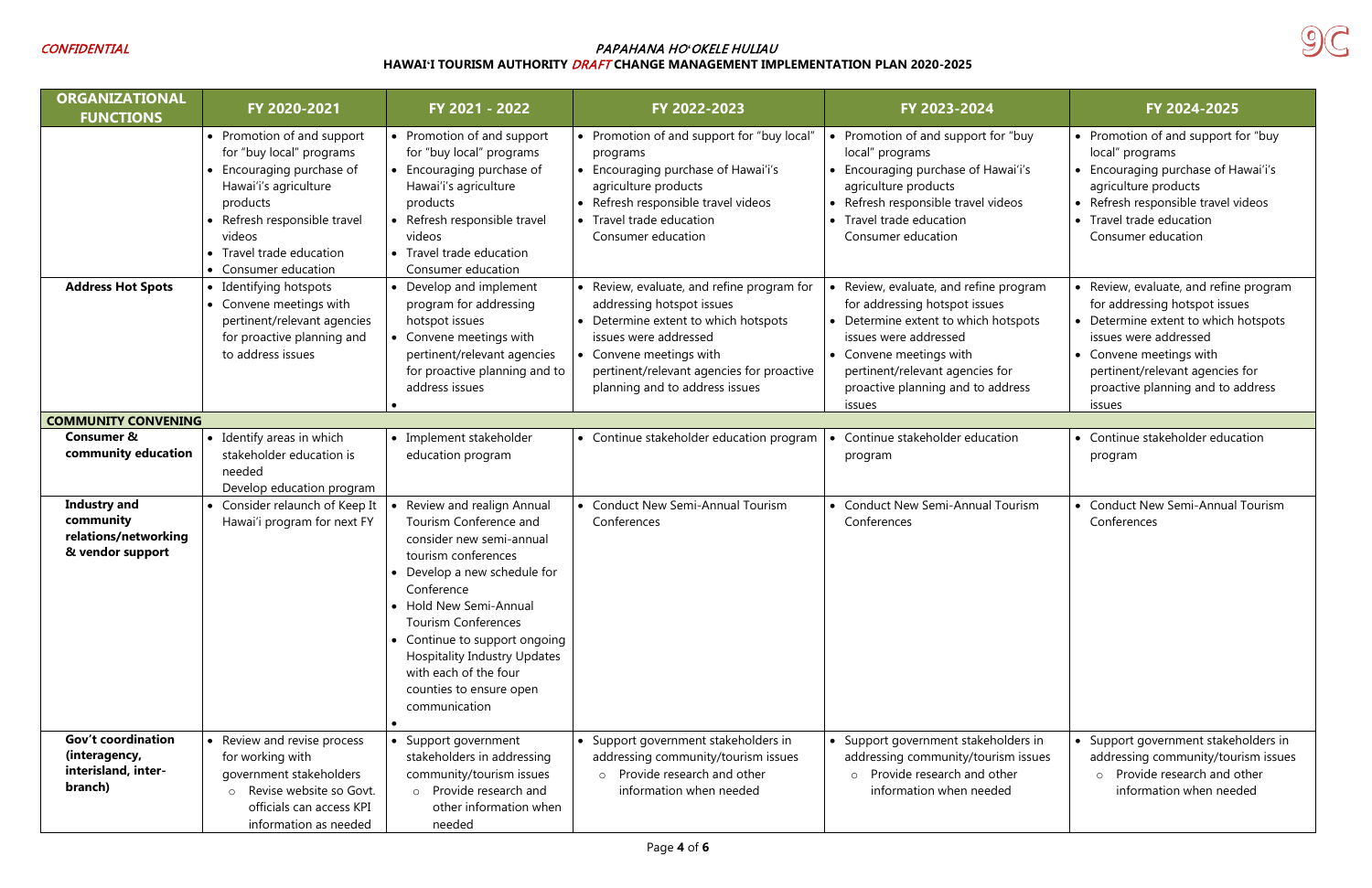

| <b>ORGANIZATIONAL</b><br><b>FUNCTIONS</b>                                    | FY 2020-2021                                                                                                                                                                                                           | FY 2021 - 2022                                                                                                                                                                                                                                                                                                                                          | FY 2022-2023                                                                                                                                                                                                                                       | FY 2023-2024                                                                                                                                                                                                                                        | FY 2024-2025                                                                                                                                                                                                                                          |
|------------------------------------------------------------------------------|------------------------------------------------------------------------------------------------------------------------------------------------------------------------------------------------------------------------|---------------------------------------------------------------------------------------------------------------------------------------------------------------------------------------------------------------------------------------------------------------------------------------------------------------------------------------------------------|----------------------------------------------------------------------------------------------------------------------------------------------------------------------------------------------------------------------------------------------------|-----------------------------------------------------------------------------------------------------------------------------------------------------------------------------------------------------------------------------------------------------|-------------------------------------------------------------------------------------------------------------------------------------------------------------------------------------------------------------------------------------------------------|
|                                                                              | • Promotion of and support<br>for "buy local" programs<br>• Encouraging purchase of<br>Hawai'i's agriculture<br>products<br>• Refresh responsible travel<br>videos<br>• Travel trade education<br>• Consumer education | • Promotion of and support<br>for "buy local" programs<br>• Encouraging purchase of<br>Hawai'i's agriculture<br>products<br>• Refresh responsible travel<br>videos<br>• Travel trade education<br>Consumer education                                                                                                                                    | • Promotion of and support for "buy local"<br>programs<br>• Encouraging purchase of Hawai'i's<br>agriculture products<br>• Refresh responsible travel videos<br>• Travel trade education<br>Consumer education                                     | • Promotion of and support for "buy<br>local" programs<br>• Encouraging purchase of Hawai'i's<br>agriculture products<br>• Refresh responsible travel videos<br>• Travel trade education<br>Consumer education                                      | • Promotion of and support for "buy<br>local" programs<br>• Encouraging purchase of Hawai'i's<br>agriculture products<br>• Refresh responsible travel videos<br>• Travel trade education<br>Consumer education                                        |
| <b>Address Hot Spots</b>                                                     | • Identifying hotspots<br>• Convene meetings with<br>pertinent/relevant agencies<br>for proactive planning and<br>to address issues                                                                                    | Develop and implement<br>program for addressing<br>hotspot issues<br>Convene meetings with<br>pertinent/relevant agencies<br>for proactive planning and to<br>address issues                                                                                                                                                                            | • Review, evaluate, and refine program for<br>addressing hotspot issues<br>• Determine extent to which hotspots<br>issues were addressed<br>• Convene meetings with<br>pertinent/relevant agencies for proactive<br>planning and to address issues | Review, evaluate, and refine program<br>for addressing hotspot issues<br>• Determine extent to which hotspots<br>issues were addressed<br>• Convene meetings with<br>pertinent/relevant agencies for<br>proactive planning and to address<br>issues | • Review, evaluate, and refine program<br>for addressing hotspot issues<br>• Determine extent to which hotspots<br>issues were addressed<br>• Convene meetings with<br>pertinent/relevant agencies for<br>proactive planning and to address<br>issues |
| <b>COMMUNITY CONVENING</b>                                                   |                                                                                                                                                                                                                        |                                                                                                                                                                                                                                                                                                                                                         |                                                                                                                                                                                                                                                    |                                                                                                                                                                                                                                                     |                                                                                                                                                                                                                                                       |
| <b>Consumer &amp;</b><br>community education                                 | • Identify areas in which<br>stakeholder education is<br>needed<br>Develop education program                                                                                                                           | • Implement stakeholder<br>education program                                                                                                                                                                                                                                                                                                            | • Continue stakeholder education program                                                                                                                                                                                                           | Continue stakeholder education<br>program                                                                                                                                                                                                           | • Continue stakeholder education<br>program                                                                                                                                                                                                           |
| <b>Industry and</b><br>community<br>relations/networking<br>& vendor support | • Consider relaunch of Keep It<br>Hawai'i program for next FY                                                                                                                                                          | Review and realign Annual<br>Tourism Conference and<br>consider new semi-annual<br>tourism conferences<br>Develop a new schedule for<br>Conference<br>• Hold New Semi-Annual<br><b>Tourism Conferences</b><br>• Continue to support ongoing<br><b>Hospitality Industry Updates</b><br>with each of the four<br>counties to ensure open<br>communication | • Conduct New Semi-Annual Tourism<br>Conferences                                                                                                                                                                                                   | • Conduct New Semi-Annual Tourism<br>Conferences                                                                                                                                                                                                    | • Conduct New Semi-Annual Tourism<br>Conferences                                                                                                                                                                                                      |
| <b>Gov't coordination</b><br>(interagency,<br>interisland, inter-<br>branch) | • Review and revise process<br>for working with<br>government stakeholders<br>o Revise website so Govt.<br>officials can access KPI<br>information as needed                                                           | • Support government<br>stakeholders in addressing<br>community/tourism issues<br>o Provide research and<br>other information when<br>needed                                                                                                                                                                                                            | • Support government stakeholders in<br>addressing community/tourism issues<br>o Provide research and other<br>information when needed                                                                                                             | • Support government stakeholders in<br>addressing community/tourism issues<br>Provide research and other<br>$\circ$<br>information when needed                                                                                                     | • Support government stakeholders in<br>addressing community/tourism issues<br>o Provide research and other<br>information when needed                                                                                                                |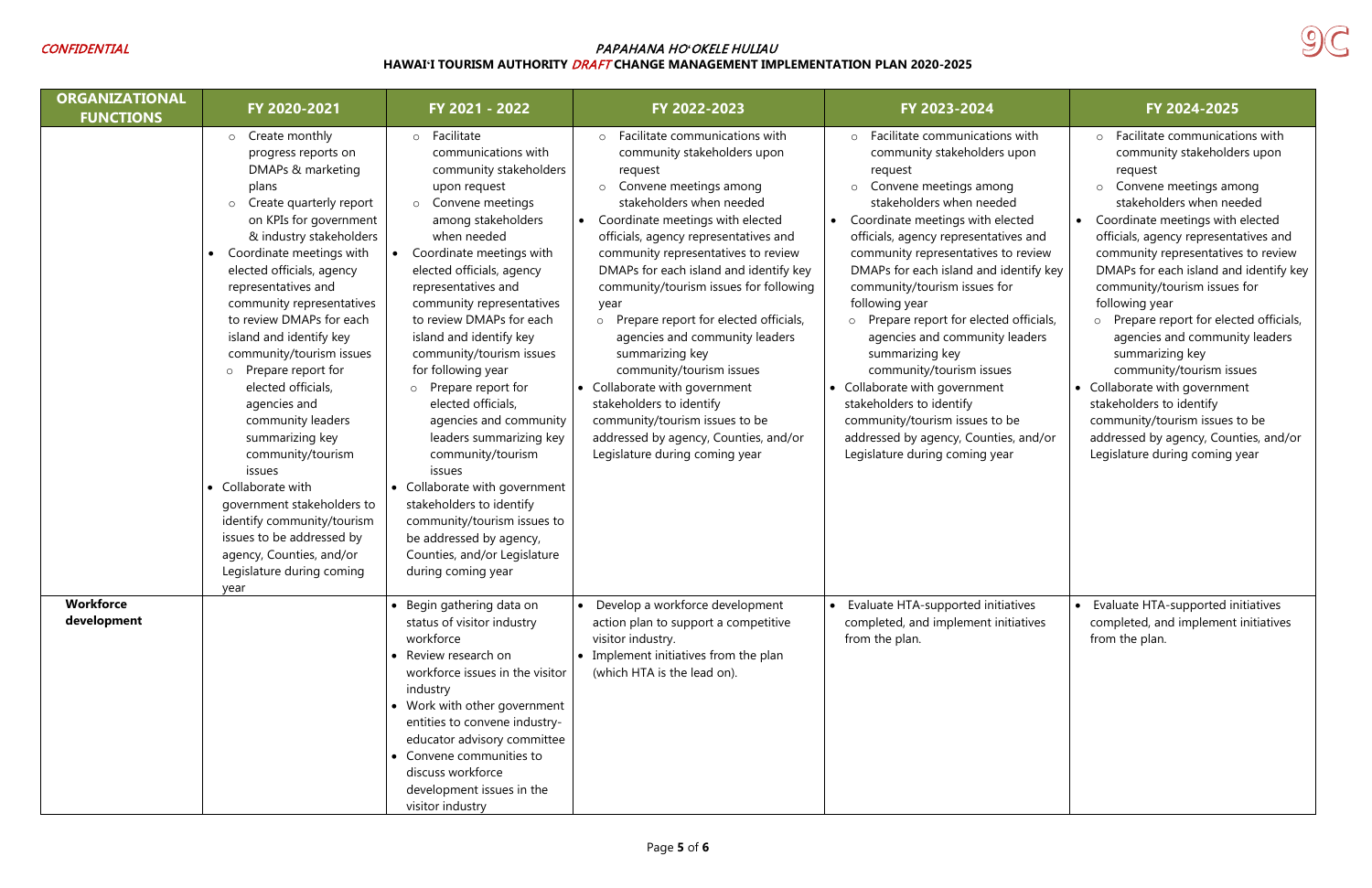

| <b>ORGANIZATIONAL</b><br><b>FUNCTIONS</b> | FY 2020-2021                                                                                                                                                                                                                                                                                                                                                                                                                                                                                                                                                                                                                                                         | FY 2021 - 2022                                                                                                                                                                                                                                                                                                                                                                                                                                                                                                                                                                                                                                                              | FY 2022-2023                                                                                                                                                                                                                                                                                                                                                                                                                                                                                                                                                                                                                                                            | FY 2023-2024                                                                                                                                                                                                                                                                                                                                                                                                                                                                                                                                                                                                                                                                        | FY 2024-2025                                                                                                                                                                                                                                                                                                                                                                                                                                                                                                                                                                                                                                                            |
|-------------------------------------------|----------------------------------------------------------------------------------------------------------------------------------------------------------------------------------------------------------------------------------------------------------------------------------------------------------------------------------------------------------------------------------------------------------------------------------------------------------------------------------------------------------------------------------------------------------------------------------------------------------------------------------------------------------------------|-----------------------------------------------------------------------------------------------------------------------------------------------------------------------------------------------------------------------------------------------------------------------------------------------------------------------------------------------------------------------------------------------------------------------------------------------------------------------------------------------------------------------------------------------------------------------------------------------------------------------------------------------------------------------------|-------------------------------------------------------------------------------------------------------------------------------------------------------------------------------------------------------------------------------------------------------------------------------------------------------------------------------------------------------------------------------------------------------------------------------------------------------------------------------------------------------------------------------------------------------------------------------------------------------------------------------------------------------------------------|-------------------------------------------------------------------------------------------------------------------------------------------------------------------------------------------------------------------------------------------------------------------------------------------------------------------------------------------------------------------------------------------------------------------------------------------------------------------------------------------------------------------------------------------------------------------------------------------------------------------------------------------------------------------------------------|-------------------------------------------------------------------------------------------------------------------------------------------------------------------------------------------------------------------------------------------------------------------------------------------------------------------------------------------------------------------------------------------------------------------------------------------------------------------------------------------------------------------------------------------------------------------------------------------------------------------------------------------------------------------------|
|                                           | o Create monthly<br>progress reports on<br>DMAPs & marketing<br>plans<br>o Create quarterly report<br>on KPIs for government<br>& industry stakeholders<br>Coordinate meetings with<br>elected officials, agency<br>representatives and<br>community representatives<br>to review DMAPs for each<br>island and identify key<br>community/tourism issues<br>o Prepare report for<br>elected officials,<br>agencies and<br>community leaders<br>summarizing key<br>community/tourism<br>issues<br>• Collaborate with<br>government stakeholders to<br>identify community/tourism<br>issues to be addressed by<br>agency, Counties, and/or<br>Legislature during coming | o Facilitate<br>communications with<br>community stakeholders<br>upon request<br>o Convene meetings<br>among stakeholders<br>when needed<br>Coordinate meetings with<br>elected officials, agency<br>representatives and<br>community representatives<br>to review DMAPs for each<br>island and identify key<br>community/tourism issues<br>for following year<br>Prepare report for<br>elected officials,<br>agencies and community<br>leaders summarizing key<br>community/tourism<br>issues<br>• Collaborate with government<br>stakeholders to identify<br>community/tourism issues to<br>be addressed by agency,<br>Counties, and/or Legislature<br>during coming year | $\circ$ Facilitate communications with<br>community stakeholders upon<br>request<br>Convene meetings among<br>$\circ$<br>stakeholders when needed<br>Coordinate meetings with elected<br>officials, agency representatives and<br>community representatives to review<br>DMAPs for each island and identify key<br>community/tourism issues for following<br>year<br>o Prepare report for elected officials,<br>agencies and community leaders<br>summarizing key<br>community/tourism issues<br>• Collaborate with government<br>stakeholders to identify<br>community/tourism issues to be<br>addressed by agency, Counties, and/or<br>Legislature during coming year | Facilitate communications with<br>$\circ$<br>community stakeholders upon<br>request<br>Convene meetings among<br>$\circ$<br>stakeholders when needed<br>Coordinate meetings with elected<br>officials, agency representatives and<br>community representatives to review<br>DMAPs for each island and identify key<br>community/tourism issues for<br>following year<br>Prepare report for elected officials,<br>$\circ$<br>agencies and community leaders<br>summarizing key<br>community/tourism issues<br>• Collaborate with government<br>stakeholders to identify<br>community/tourism issues to be<br>addressed by agency, Counties, and/or<br>Legislature during coming year | $\circ$ Facilitate communications with<br>community stakeholders upon<br>request<br>Convene meetings among<br>$\circ$<br>stakeholders when needed<br>Coordinate meetings with elected<br>officials, agency representatives and<br>community representatives to review<br>DMAPs for each island and identify key<br>community/tourism issues for<br>following year<br>o Prepare report for elected officials,<br>agencies and community leaders<br>summarizing key<br>community/tourism issues<br>• Collaborate with government<br>stakeholders to identify<br>community/tourism issues to be<br>addressed by agency, Counties, and/or<br>Legislature during coming year |
| <b>Workforce</b><br>development           | year                                                                                                                                                                                                                                                                                                                                                                                                                                                                                                                                                                                                                                                                 | • Begin gathering data on<br>status of visitor industry<br>workforce<br>• Review research on<br>workforce issues in the visitor<br>industry<br>• Work with other government<br>entities to convene industry-<br>educator advisory committee<br>• Convene communities to<br>discuss workforce<br>development issues in the<br>visitor industry                                                                                                                                                                                                                                                                                                                               | Develop a workforce development<br>$\bullet$<br>action plan to support a competitive<br>visitor industry.<br>• Implement initiatives from the plan<br>(which HTA is the lead on).                                                                                                                                                                                                                                                                                                                                                                                                                                                                                       | • Evaluate HTA-supported initiatives<br>completed, and implement initiatives<br>from the plan.                                                                                                                                                                                                                                                                                                                                                                                                                                                                                                                                                                                      | • Evaluate HTA-supported initiatives<br>completed, and implement initiatives<br>from the plan.                                                                                                                                                                                                                                                                                                                                                                                                                                                                                                                                                                          |